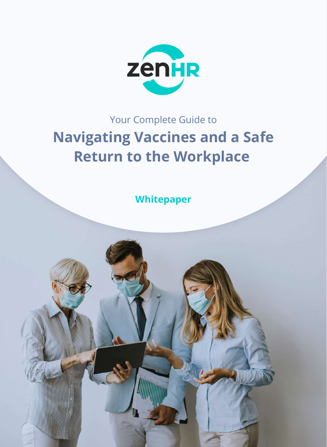

# Your Complete Guide to **Navigating Vaccines and a Safe Return to the Workplace**

**Whitepaper**

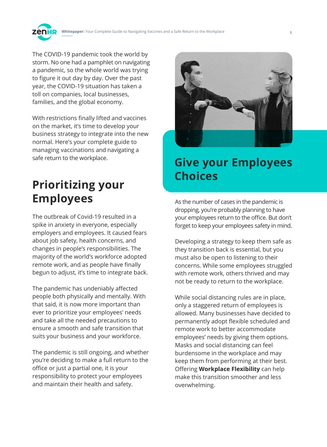

The COVID-19 pandemic took the world by storm. No one had a pamphlet on navigating a pandemic, so the whole world was trying to figure it out day by day. Over the past year, the COVID-19 situation has taken a toll on companies, local businesses, families, and the global economy.

With restrictions finally lifted and vaccines on the market, it's time to develop your business strategy to integrate into the new normal. Here's your complete guide to managing vaccinations and navigating a safe return to the workplace.

# **Prioritizing your Employees**

The outbreak of Covid-19 resulted in a spike in anxiety in everyone, especially employers and employees. It caused fears about job safety, health concerns, and changes in people's responsibilities. The majority of the world's workforce adopted remote work, and as people have finally begun to adjust, it's time to integrate back.

The pandemic has undeniably affected people both physically and mentally. With that said, it is now more important than ever to prioritize your employees' needs and take all the needed precautions to ensure a smooth and safe transition that suits your business and your workforce.

The pandemic is still ongoing, and whether you're deciding to make a full return to the office or just a partial one, it is your responsibility to protect your employees and maintain their health and safety.



## **Give your Employees Choices**

As the number of cases in the pandemic is dropping, you're probably planning to have your employees return to the office. But don't forget to keep your employees safety in mind.

Developing a strategy to keep them safe as they transition back is essential, but you must also be open to listening to their concerns. While some employees struggled with remote work, others thrived and may not be ready to return to the workplace.

While social distancing rules are in place, only a staggered return of employees is allowed. Many businesses have decided to permanently adopt flexible scheduled and remote work to better accommodate employees' needs by giving them options. Masks and social distancing can feel burdensome in the workplace and may keep them from performing at their best. Offering **Workplace Flexibility** can help make this transition smoother and less overwhelming.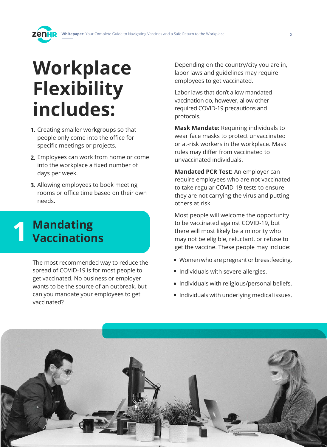# **Workplace Flexibility includes:**

- **1.** Creating smaller workgroups so that people only come into the office for specific meetings or projects.
- **2.** Employees can work from home or come into the workplace a fixed number of days per week.
- **3.** Allowing employees to book meeting rooms or office time based on their own needs.

# **Mandating 1 Vaccinations**

The most recommended way to reduce the spread of COVID-19 is for most people to get vaccinated. No business or employer wants to be the source of an outbreak, but can you mandate your employees to get vaccinated?

Depending on the country/city you are in, labor laws and guidelines may require employees to get vaccinated.

Labor laws that don't allow mandated vaccination do, however, allow other required COVID-19 precautions and protocols.

**Mask Mandate:** Requiring individuals to wear face masks to protect unvaccinated or at-risk workers in the workplace. Mask rules may differ from vaccinated to unvaccinated individuals.

**Mandated PCR Test:** An employer can require employees who are not vaccinated to take regular COVID-19 tests to ensure they are not carrying the virus and putting others at risk.

Most people will welcome the opportunity to be vaccinated against COVID-19, but there will most likely be a minority who may not be eligible, reluctant, or refuse to get the vaccine. These people may include:

- Women who are pregnant or breastfeeding.
- Individuals with severe allergies.
- Individuals with religious/personal beliefs.
- Individuals with underlying medical issues.

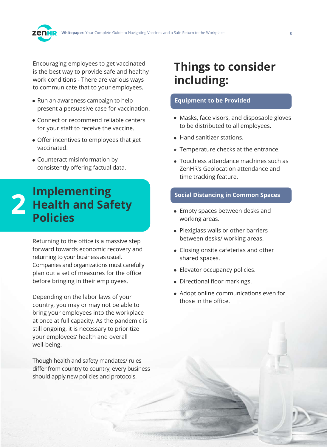

Encouraging employees to get vaccinated is the best way to provide safe and healthy work conditions - There are various ways to communicate that to your employees.

- Run an awareness campaign to help present a persuasive case for vaccination.
- Connect or recommend reliable centers for your staff to receive the vaccine.
- Offer incentives to employees that get vaccinated.
- Counteract misinformation by consistently offering factual data.

### **Implementing Health and Safety Policies Social Distancing in Common Spaces**<br> **1989 Health and Safety**<br> **1989 Dolicies 2008 Morking areas**

Returning to the office is a massive step forward towards economic recovery and returning to your business as usual. Companies and organizations must carefully plan out a set of measures for the office before bringing in their employees.

Depending on the labor laws of your country, you may or may not be able to bring your employees into the workplace at once at full capacity. As the pandemic is still ongoing, it is necessary to prioritize your employees' health and overall well-being.

Though health and safety mandates/ rules differ from country to country, every business should apply new policies and protocols.

# **Things to consider including:**

#### **Equipment to be Provided**

- Masks, face visors, and disposable gloves to be distributed to all employees.
- Hand sanitizer stations.
- Temperature checks at the entrance.
- Touchless attendance machines such as ZenHR's Geolocation attendance and time tracking feature.

- Empty spaces between desks and working areas.
- Plexiglass walls or other barriers between desks/ working areas.
- Closing onsite cafeterias and other shared spaces.
- Elevator occupancy policies.
- Directional floor markings.
- Adopt online communications even for those in the office.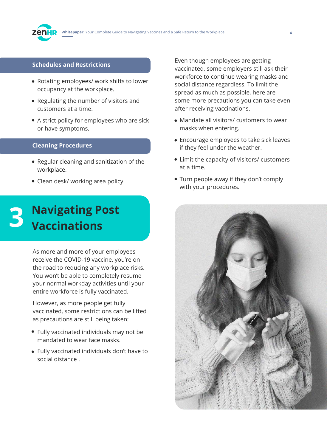#### **Schedules and Restrictions**

- Rotating employees/ work shifts to lower occupancy at the workplace.
- Regulating the number of visitors and customers at a time.
- A strict policy for employees who are sick or have symptoms.

#### **Cleaning Procedures**

- Regular cleaning and sanitization of the workplace.
- Clean desk/ working area policy.

# **B** Navigating Post<br> **B** Vaccinations **Vaccinations**

As more and more of your employees receive the COVID-19 vaccine, you're on the road to reducing any workplace risks. You won't be able to completely resume your normal workday activities until your entire workforce is fully vaccinated.

However, as more people get fully vaccinated, some restrictions can be lifted as precautions are still being taken:

- Fully vaccinated individuals may not be mandated to wear face masks.
- Fully vaccinated individuals don't have to social distance .

Even though employees are getting vaccinated, some employers still ask their workforce to continue wearing masks and social distance regardless. To limit the spread as much as possible, here are some more precautions you can take even after receiving vaccinations.

- Mandate all visitors/ customers to wear masks when entering.
- Encourage employees to take sick leaves if they feel under the weather.
- Limit the capacity of visitors/ customers at a time.
- Turn people away if they don't comply with your procedures.